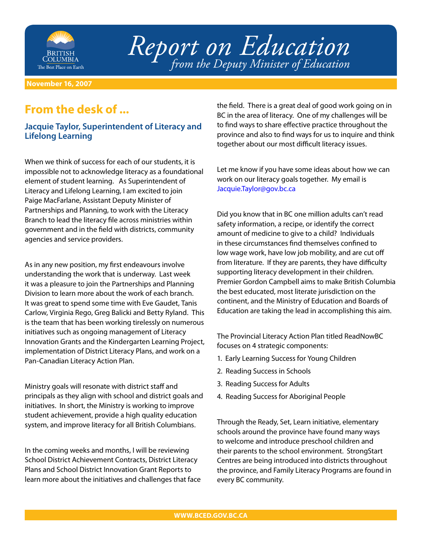

*Report on Education from the Deputy Minister of Education*

**November 16, 2007**

## **From the desk of ...**

## **Jacquie Taylor, Superintendent of Literacy and Lifelong Learning**

When we think of success for each of our students, it is impossible not to acknowledge literacy as a foundational element of student learning. As Superintendent of Literacy and Lifelong Learning, I am excited to join Paige MacFarlane, Assistant Deputy Minister of Partnerships and Planning, to work with the Literacy Branch to lead the literacy file across ministries within government and in the field with districts, community agencies and service providers.

As in any new position, my first endeavours involve understanding the work that is underway. Last week it was a pleasure to join the Partnerships and Planning Division to learn more about the work of each branch. It was great to spend some time with Eve Gaudet, Tanis Carlow, Virginia Rego, Greg Balicki and Betty Ryland. This is the team that has been working tirelessly on numerous initiatives such as ongoing management of Literacy Innovation Grants and the Kindergarten Learning Project, implementation of District Literacy Plans, and work on a Pan-Canadian Literacy Action Plan.

Ministry goals will resonate with district staff and principals as they align with school and district goals and initiatives. In short, the Ministry is working to improve student achievement, provide a high quality education system, and improve literacy for all British Columbians.

In the coming weeks and months, I will be reviewing School District Achievement Contracts, District Literacy Plans and School District Innovation Grant Reports to learn more about the initiatives and challenges that face the field. There is a great deal of good work going on in BC in the area of literacy. One of my challenges will be to find ways to share effective practice throughout the province and also to find ways for us to inquire and think together about our most difficult literacy issues.

Let me know if you have some ideas about how we can work on our literacy goals together. My email is [Jacquie.Taylor@gov.bc.ca](MailTo:Jacquie.Taylor@gov.bc.ca)

Did you know that in BC one million adults can't read safety information, a recipe, or identify the correct amount of medicine to give to a child? Individuals in these circumstances find themselves confined to low wage work, have low job mobility, and are cut off from literature. If they are parents, they have difficulty supporting literacy development in their children. Premier Gordon Campbell aims to make British Columbia the best educated, most literate jurisdiction on the continent, and the Ministry of Education and Boards of Education are taking the lead in accomplishing this aim.

The Provincial Literacy Action Plan titled ReadNowBC focuses on 4 strategic components:

- 1. Early Learning Success for Young Children
- 2. Reading Success in Schools
- 3. Reading Success for Adults
- 4. Reading Success for Aboriginal People

Through the Ready, Set, Learn initiative, elementary schools around the province have found many ways to welcome and introduce preschool children and their parents to the school environment. StrongStart Centres are being introduced into districts throughout the province, and Family Literacy Programs are found in every BC community.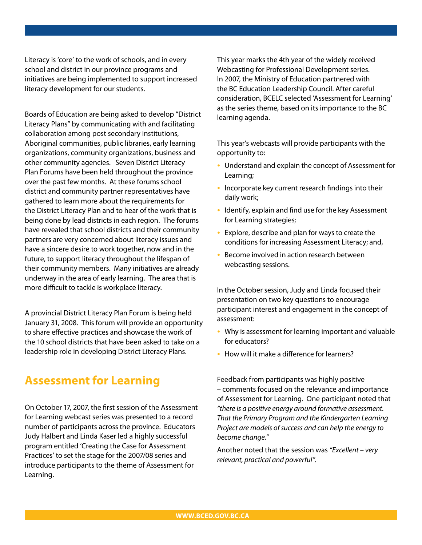Literacy is 'core' to the work of schools, and in every school and district in our province programs and initiatives are being implemented to support increased literacy development for our students.

Boards of Education are being asked to develop "District Literacy Plans" by communicating with and facilitating collaboration among post secondary institutions, Aboriginal communities, public libraries, early learning organizations, community organizations, business and other community agencies. Seven District Literacy Plan Forums have been held throughout the province over the past few months. At these forums school district and community partner representatives have gathered to learn more about the requirements for the District Literacy Plan and to hear of the work that is being done by lead districts in each region. The forums have revealed that school districts and their community partners are very concerned about literacy issues and have a sincere desire to work together, now and in the future, to support literacy throughout the lifespan of their community members. Many initiatives are already underway in the area of early learning. The area that is more difficult to tackle is workplace literacy.

A provincial District Literacy Plan Forum is being held January 31, 2008. This forum will provide an opportunity to share effective practices and showcase the work of the 10 school districts that have been asked to take on a leadership role in developing District Literacy Plans.

## **Assessment for Learning**

On October 17, 2007, the first session of the Assessment for Learning webcast series was presented to a record number of participants across the province. Educators Judy Halbert and Linda Kaser led a highly successful program entitled 'Creating the Case for Assessment Practices' to set the stage for the 2007/08 series and introduce participants to the theme of Assessment for Learning.

This year marks the 4th year of the widely received Webcasting for Professional Development series. In 2007, the Ministry of Education partnered with the BC Education Leadership Council. After careful consideration, BCELC selected 'Assessment for Learning' as the series theme, based on its importance to the BC learning agenda.

This year's webcasts will provide participants with the opportunity to:

- Understand and explain the concept of Assessment for Learning;
- Incorporate key current research findings into their daily work;
- Identify, explain and find use for the key Assessment for Learning strategies;
- Explore, describe and plan for ways to create the conditions for increasing Assessment Literacy; and,
- Become involved in action research between webcasting sessions.

In the October session, Judy and Linda focused their presentation on two key questions to encourage participant interest and engagement in the concept of assessment:

- Why is assessment for learning important and valuable for educators?
- How will it make a difference for learners?

Feedback from participants was highly positive – comments focused on the relevance and importance of Assessment for Learning. One participant noted that *"there is a positive energy around formative assessment. That the Primary Program and the Kindergarten Learning Project are models of success and can help the energy to become change."* 

Another noted that the session was *"Excellent – very relevant, practical and powerful"*.